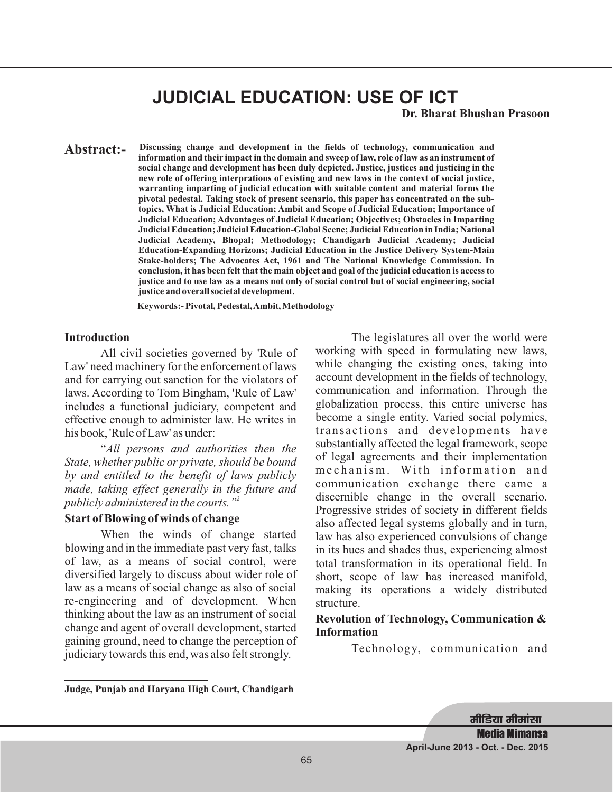# **JUDICIAL EDUCATION: USE OF ICT**

**Dr. Bharat Bhushan Prasoon**

**Discussing change and development in the fields of technology, communication and information and their impact in the domain and sweep of law, role of law as an instrument of social change and development has been duly depicted. Justice, justices and justicing in the new role of offering interprations of existing and new laws in the context of social justice, warranting imparting of judicial education with suitable content and material forms the pivotal pedestal. Taking stock of present scenario, this paper has concentrated on the subtopics, What is Judicial Education; Ambit and Scope of Judicial Education; Importance of Judicial Education; Advantages of Judicial Education; Objectives; Obstacles in Imparting Judicial Education; Judicial Education-Global Scene; Judicial Education in India; National Judicial Academy, Bhopal; Methodology; Chandigarh Judicial Academy; Judicial Education-Expanding Horizons; Judicial Education in the Justice Delivery System-Main Stake-holders; The Advocates Act, 1961 and The National Knowledge Commission. In conclusion, it has been felt that the main object and goal of the judicial education is access to justice and to use law as a means not only of social control but of social engineering, social justice and overall societal development. Abstract:-**

**Keywords:- Pivotal, Pedestal,Ambit, Methodology**

#### **Introduction**

All civil societies governed by 'Rule of Law' need machinery for the enforcement of laws and for carrying out sanction for the violators of laws. According to Tom Bingham, 'Rule of Law' includes a functional judiciary, competent and effective enough to administer law. He writes in his book, 'Rule of Law' as under:

" *All persons and authorities then the State, whether public or private, should be bound by and entitled to the benefit of laws publicly made, taking effect generally in the future and publicly administered in the courts."<sup>2</sup>*

#### **Start of Blowing of winds of change**

When the winds of change started blowing and in the immediate past very fast, talks of law, as a means of social control, were diversified largely to discuss about wider role of law as a means of social change as also of social re-engineering and of development. When thinking about the law as an instrument of social change and agent of overall development, started gaining ground, need to change the perception of judiciary towards this end, was also felt strongly.

The legislatures all over the world were working with speed in formulating new laws, while changing the existing ones, taking into account development in the fields of technology, communication and information. Through the globalization process, this entire universe has become a single entity. Varied social polymics, transactions and developments have substantially affected the legal framework, scope of legal agreements and their implementation mechanism. With information and communication exchange there came a discernible change in the overall scenario. Progressive strides of society in different fields also affected legal systems globally and in turn, law has also experienced convulsions of change in its hues and shades thus, experiencing almost total transformation in its operational field. In short, scope of law has increased manifold, making its operations a widely distributed structure.

### **Revolution of Technology, Communication & Information**

Technology, communication and

**Judge, Punjab and Haryana High Court, Chandigarh**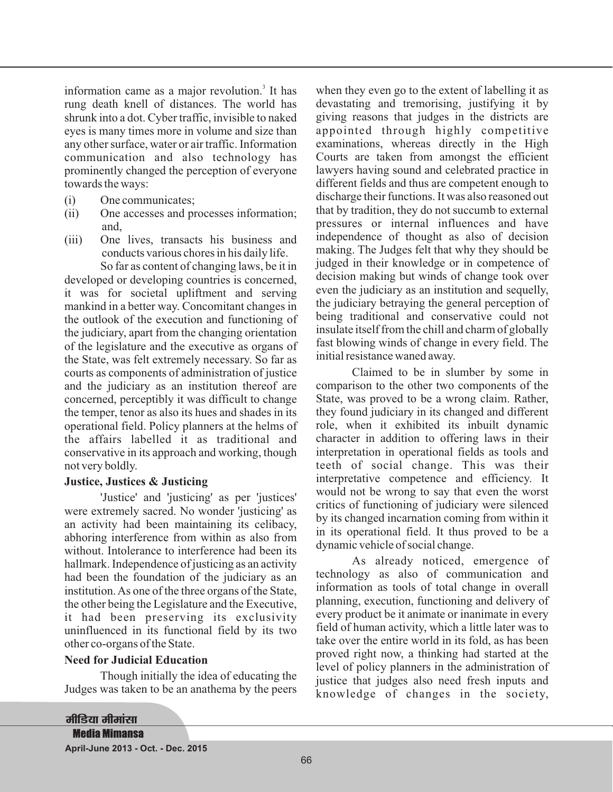information came as a major revolution. $3$  It has rung death knell of distances. The world has shrunk into a dot. Cyber traffic, invisible to naked eyes is many times more in volume and size than any other surface, water or air traffic. Information communication and also technology has prominently changed the perception of everyone towards the ways:

- (i) One communicates;
- (ii) One accesses and processes information; and,
- (iii) One lives, transacts his business and conducts various chores in his daily life.

So far as content of changing laws, be it in developed or developing countries is concerned, it was for societal upliftment and serving mankind in a better way. Concomitant changes in the outlook of the execution and functioning of the judiciary, apart from the changing orientation of the legislature and the executive as organs of the State, was felt extremely necessary. So far as courts as components of administration of justice and the judiciary as an institution thereof are concerned, perceptibly it was difficult to change the temper, tenor as also its hues and shades in its operational field. Policy planners at the helms of the affairs labelled it as traditional and conservative in its approach and working, though not very boldly.

### **Justice, Justices & Justicing**

'Justice' and 'justicing' as per 'justices' were extremely sacred. No wonder 'justicing' as an activity had been maintaining its celibacy, abhoring interference from within as also from without. Intolerance to interference had been its hallmark. Independence of justicing as an activity had been the foundation of the judiciary as an institution.As one of the three organs of the State, the other being the Legislature and the Executive, it had been preserving its exclusivity uninfluenced in its functional field by its two other co-organs of the State.

### **Need for Judicial Education**

Though initially the idea of educating the Judges was taken to be an anathema by the peers

when they even go to the extent of labelling it as devastating and tremorising, justifying it by giving reasons that judges in the districts are appointed through highly competitive examinations, whereas directly in the High Courts are taken from amongst the efficient lawyers having sound and celebrated practice in different fields and thus are competent enough to discharge their functions. It was also reasoned out that by tradition, they do not succumb to external pressures or internal influences and have independence of thought as also of decision making. The Judges felt that why they should be judged in their knowledge or in competence of decision making but winds of change took over even the judiciary as an institution and sequelly, the judiciary betraying the general perception of being traditional and conservative could not insulate itself from the chill and charm of globally fast blowing winds of change in every field. The initial resistance waned away.

Claimed to be in slumber by some in comparison to the other two components of the State, was proved to be a wrong claim. Rather, they found judiciary in its changed and different role, when it exhibited its inbuilt dynamic character in addition to offering laws in their interpretation in operational fields as tools and teeth of social change. This was their interpretative competence and efficiency. It would not be wrong to say that even the worst critics of functioning of judiciary were silenced by its changed incarnation coming from within it in its operational field. It thus proved to be a dynamic vehicle of social change.

As already noticed, emergence of technology as also of communication and information as tools of total change in overall planning, execution, functioning and delivery of every product be it animate or inanimate in every field of human activity, which a little later was to take over the entire world in its fold, as has been proved right now, a thinking had started at the level of policy planners in the administration of justice that judges also need fresh inputs and knowledge of changes in the society,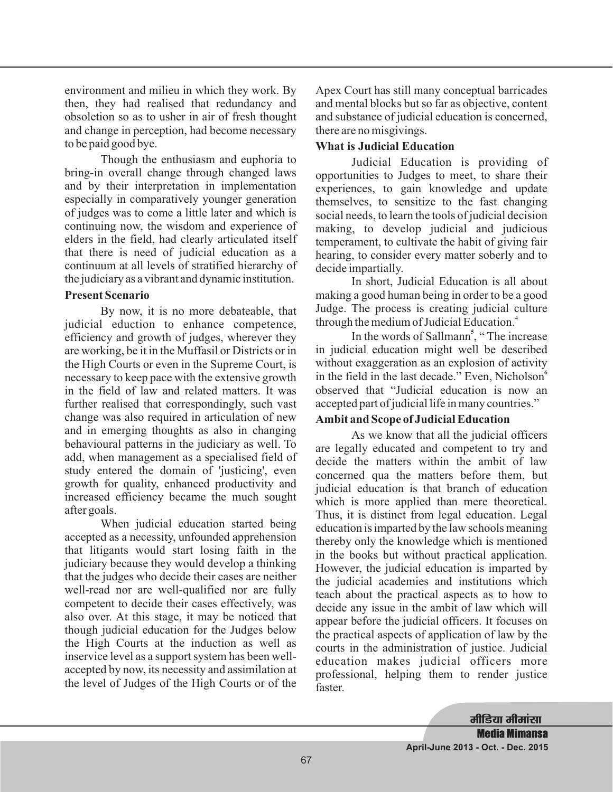environment and milieu in which they work. By then, they had realised that redundancy and obsoletion so as to usher in air of fresh thought and change in perception, had become necessary to be paid good bye.

Though the enthusiasm and euphoria to bring-in overall change through changed laws and by their interpretation in implementation especially in comparatively younger generation of judges was to come a little later and which is continuing now, the wisdom and experience of elders in the field, had clearly articulated itself that there is need of judicial education as a continuum at all levels of stratified hierarchy of the judiciary as a vibrant and dynamic institution.

### **Present Scenario**

By now, it is no more debateable, that judicial eduction to enhance competence, efficiency and growth of judges, wherever they are working, be it in the Muffasil or Districts or in the High Courts or even in the Supreme Court, is necessary to keep pace with the extensive growth in the field of law and related matters. It was further realised that correspondingly, such vast change was also required in articulation of new and in emerging thoughts as also in changing behavioural patterns in the judiciary as well. To add, when management as a specialised field of study entered the domain of 'justicing', even growth for quality, enhanced productivity and increased efficiency became the much sought after goals.

When judicial education started being accepted as a necessity, unfounded apprehension that litigants would start losing faith in the judiciary because they would develop a thinking that the judges who decide their cases are neither well-read nor are well-qualified nor are fully competent to decide their cases effectively, was also over. At this stage, it may be noticed that though judicial education for the Judges below the High Courts at the induction as well as inservice level as a support system has been wellaccepted by now, its necessity and assimilation at the level of Judges of the High Courts or of the

Apex Court has still many conceptual barricades and mental blocks but so far as objective, content and substance of judicial education is concerned, there are no misgivings.

### **What is Judicial Education**

Judicial Education is providing of opportunities to Judges to meet, to share their experiences, to gain knowledge and update themselves, to sensitize to the fast changing social needs, to learn the tools of judicial decision making, to develop judicial and judicious temperament, to cultivate the habit of giving fair hearing, to consider every matter soberly and to decide impartially.

In short, Judicial Education is all about making a good human being in order to be a good Judge. The process is creating judicial culture through the medium of Judicial Education. 4

In the words of Sallmann<sup>5</sup>, "The increase in judicial education might well be described without exaggeration as an explosion of activity in the field in the last decade." Even, Nicholson **6** observed that "Judicial education is now an accepted part of judicial life in many countries."

### **Ambit and Scope of Judicial Education**

As we know that all the judicial officers are legally educated and competent to try and decide the matters within the ambit of law concerned qua the matters before them, but judicial education is that branch of education which is more applied than mere theoretical. Thus, it is distinct from legal education. Legal education is imparted by the law schools meaning thereby only the knowledge which is mentioned in the books but without practical application. However, the judicial education is imparted by the judicial academies and institutions which teach about the practical aspects as to how to decide any issue in the ambit of law which will appear before the judicial officers. It focuses on the practical aspects of application of law by the courts in the administration of justice. Judicial education makes judicial officers more professional, helping them to render justice faster.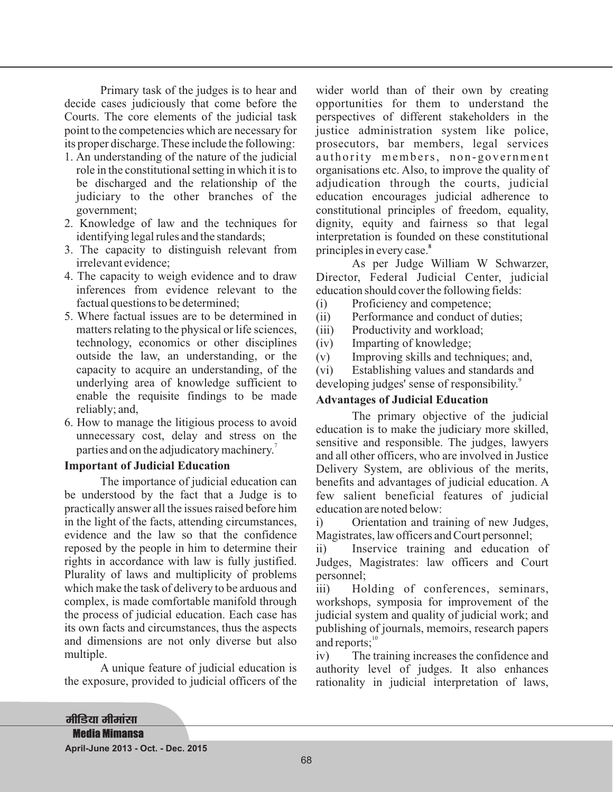Primary task of the judges is to hear and decide cases judiciously that come before the Courts. The core elements of the judicial task point to the competencies which are necessary for its proper discharge. These include the following:

- 1. An understanding of the nature of the judicial role in the constitutional setting in which it is to be discharged and the relationship of the judiciary to the other branches of the government;
- 2. Knowledge of law and the techniques for identifying legal rules and the standards;
- 3. The capacity to distinguish relevant from irrelevant evidence;
- 4. The capacity to weigh evidence and to draw inferences from evidence relevant to the factual questions to be determined;
- 5. Where factual issues are to be determined in matters relating to the physical or life sciences, technology, economics or other disciplines outside the law, an understanding, or the capacity to acquire an understanding, of the underlying area of knowledge sufficient to enable the requisite findings to be made reliably; and,
- 6. How to manage the litigious process to avoid unnecessary cost, delay and stress on the parties and on the adjudicatory machinery.<sup>7</sup>

### **Important of Judicial Education**

The importance of judicial education can be understood by the fact that a Judge is to practically answer all the issues raised before him in the light of the facts, attending circumstances, evidence and the law so that the confidence reposed by the people in him to determine their rights in accordance with law is fully justified. Plurality of laws and multiplicity of problems which make the task of delivery to be arduous and complex, is made comfortable manifold through the process of judicial education. Each case has its own facts and circumstances, thus the aspects and dimensions are not only diverse but also multiple.

A unique feature of judicial education is the exposure, provided to judicial officers of the

wider world than of their own by creating opportunities for them to understand the perspectives of different stakeholders in the justice administration system like police, prosecutors, bar members, legal services authority members, non-government organisations etc. Also, to improve the quality of adjudication through the courts, judicial education encourages judicial adherence to constitutional principles of freedom, equality, dignity, equity and fairness so that legal interpretation is founded on these constitutional principles in every case. **8**

As per Judge William W Schwarzer, Director, Federal Judicial Center, judicial education should cover the following fields:

(i) Proficiency and competence;

(ii) Performance and conduct of duties;

(iii) Productivity and workload;

(iv) Imparting of knowledge;

(v) Improving skills and techniques; and,

(vi) Establishing values and standards and developing judges' sense of responsibility.<sup>9</sup>

### **Advantages of Judicial Education**

The primary objective of the judicial education is to make the judiciary more skilled, sensitive and responsible. The judges, lawyers and all other officers, who are involved in Justice Delivery System, are oblivious of the merits, benefits and advantages of judicial education. A few salient beneficial features of judicial education are noted below:

i) Orientation and training of new Judges, Magistrates, law officers and Court personnel;

ii) Inservice training and education of Judges, Magistrates: law officers and Court personnel;

iii) Holding of conferences, seminars, workshops, symposia for improvement of the judicial system and quality of judicial work; and publishing of journals, memoirs, research papers and reports;<sup>10</sup>

iv) The training increases the confidence and authority level of judges. It also enhances rationality in judicial interpretation of laws,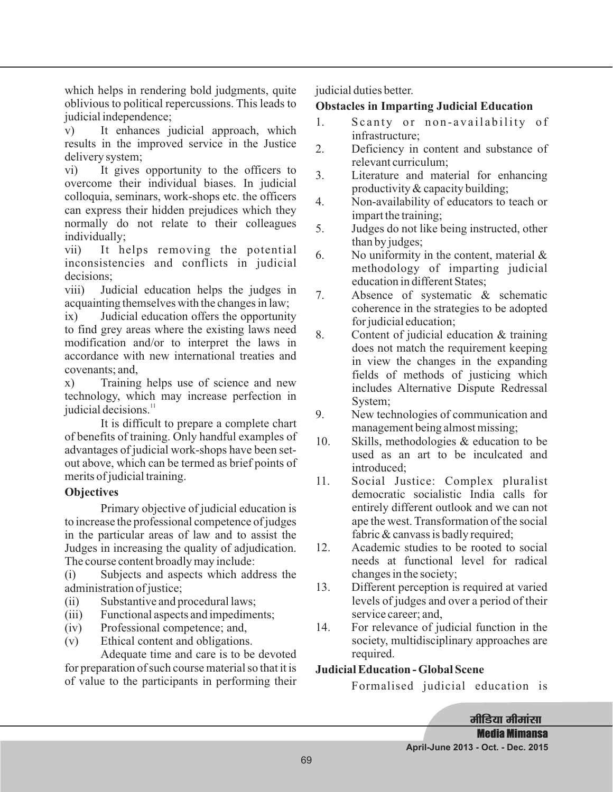which helps in rendering bold judgments, quite oblivious to political repercussions. This leads to judicial independence;

v) It enhances judicial approach, which results in the improved service in the Justice delivery system;

vi) It gives opportunity to the officers to overcome their individual biases. In judicial colloquia, seminars, work-shops etc. the officers can express their hidden prejudices which they normally do not relate to their colleagues individually;

vii) It helps removing the potential inconsistencies and conflicts in judicial decisions;

viii) Judicial education helps the judges in acquainting themselves with the changes in law;

ix) Judicial education offers the opportunity to find grey areas where the existing laws need modification and/or to interpret the laws in accordance with new international treaties and covenants; and,

x) Training helps use of science and new technology, which may increase perfection in judicial decisions.<sup>11</sup>

It is difficult to prepare a complete chart of benefits of training. Only handful examples of advantages of judicial work-shops have been setout above, which can be termed as brief points of merits of judicial training.

# **Objectives**

Primary objective of judicial education is to increase the professional competence of judges in the particular areas of law and to assist the Judges in increasing the quality of adjudication. The course content broadly may include:

(i) Subjects and aspects which address the administration of justice;

- (ii) Substantive and procedural laws;
- (iii) Functional aspects and impediments;
- (iv) Professional competence; and,
- (v) Ethical content and obligations.

Adequate time and care is to be devoted for preparation of such course material so that it is of value to the participants in performing their judicial duties better.

# **Obstacles in Imparting Judicial Education**

- 1. Scanty or non-availability of infrastructure;
- 2. Deficiency in content and substance of relevant curriculum;
- 3. Literature and material for enhancing productivity & capacity building;
- 4. Non-availability of educators to teach or impart the training;
- 5. Judges do not like being instructed, other than by judges;
- 6. No uniformity in the content, material & methodology of imparting judicial education in different States;
- 7. Absence of systematic & schematic coherence in the strategies to be adopted for judicial education;
- 8. Content of judicial education & training does not match the requirement keeping in view the changes in the expanding fields of methods of justicing which includes Alternative Dispute Redressal System;
- 9. New technologies of communication and management being almost missing;
- 10. Skills, methodologies & education to be used as an art to be inculcated and introduced;
- 11. Social Justice: Complex pluralist democratic socialistic India calls for entirely different outlook and we can not ape the west. Transformation of the social fabric & canvass is badly required;
- 12. Academic studies to be rooted to social needs at functional level for radical changes in the society;
- 13. Different perception is required at varied levels of judges and over a period of their service career; and,
- 14. For relevance of judicial function in the society, multidisciplinary approaches are required.

# **Judicial Education - Global Scene**

Formalised judicial education is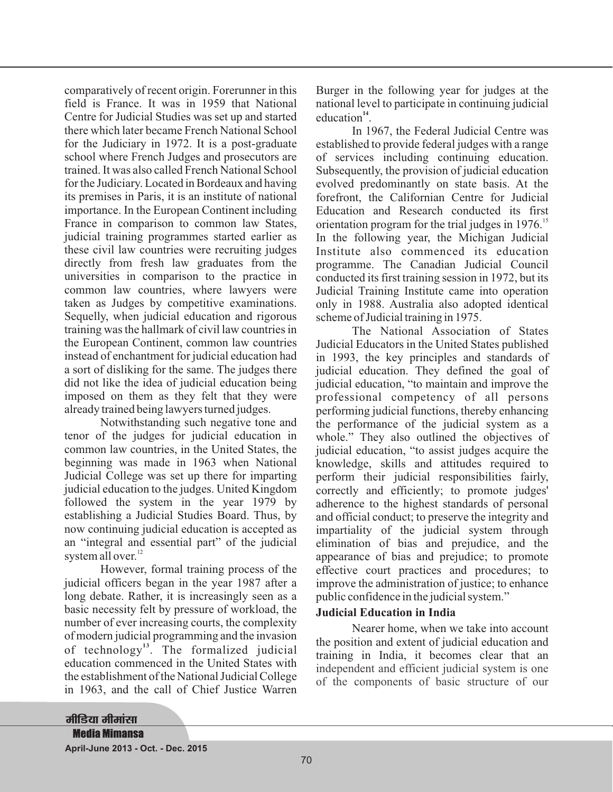comparatively of recent origin. Forerunner in this field is France. It was in 1959 that National Centre for Judicial Studies was set up and started there which later became French National School for the Judiciary in 1972. It is a post-graduate school where French Judges and prosecutors are trained. It was also called French National School for the Judiciary. Located in Bordeaux and having its premises in Paris, it is an institute of national importance. In the European Continent including France in comparison to common law States, judicial training programmes started earlier as these civil law countries were recruiting judges directly from fresh law graduates from the universities in comparison to the practice in common law countries, where lawyers were taken as Judges by competitive examinations. Sequelly, when judicial education and rigorous training was the hallmark of civil law countries in the European Continent, common law countries instead of enchantment for judicial education had a sort of disliking for the same. The judges there did not like the idea of judicial education being imposed on them as they felt that they were already trained being lawyers turned judges.

Notwithstanding such negative tone and tenor of the judges for judicial education in common law countries, in the United States, the beginning was made in 1963 when National Judicial College was set up there for imparting judicial education to the judges. United Kingdom followed the system in the year 1979 by establishing a Judicial Studies Board. Thus, by now continuing judicial education is accepted as an "integral and essential part" of the judicial system all over.<sup>12</sup>

However, formal training process of the judicial officers began in the year 1987 after a long debate. Rather, it is increasingly seen as a basic necessity felt by pressure of workload, the number of ever increasing courts, the complexity of modern judicial programming and the invasion of technology<sup>13</sup>. The formalized judicial education commenced in the United States with the establishment of the National Judicial College in 1963, and the call of Chief Justice Warren

Burger in the following year for judges at the national level to participate in continuing judicial education<sup>14</sup>.

In 1967, the Federal Judicial Centre was established to provide federal judges with a range of services including continuing education. Subsequently, the provision of judicial education evolved predominantly on state basis. At the forefront, the Californian Centre for Judicial Education and Research conducted its first orientation program for the trial judges in 1976.<sup>15</sup> In the following year, the Michigan Judicial Institute also commenced its education programme. The Canadian Judicial Council conducted its first training session in 1972, but its Judicial Training Institute came into operation only in 1988. Australia also adopted identical scheme of Judicial training in 1975.

The National Association of States Judicial Educators in the United States published in 1993, the key principles and standards of judicial education. They defined the goal of judicial education, "to maintain and improve the professional competency of all persons performing judicial functions, thereby enhancing the performance of the judicial system as a whole." They also outlined the objectives of judicial education, "to assist judges acquire the knowledge, skills and attitudes required to perform their judicial responsibilities fairly, correctly and efficiently; to promote judges' adherence to the highest standards of personal and official conduct; to preserve the integrity and impartiality of the judicial system through elimination of bias and prejudice, and the appearance of bias and prejudice; to promote effective court practices and procedures; to improve the administration of justice; to enhance public confidence in the judicial system."

### **Judicial Education in India**

Nearer home, when we take into account the position and extent of judicial education and training in India, it becomes clear that an independent and efficient judicial system is one of the components of basic structure of our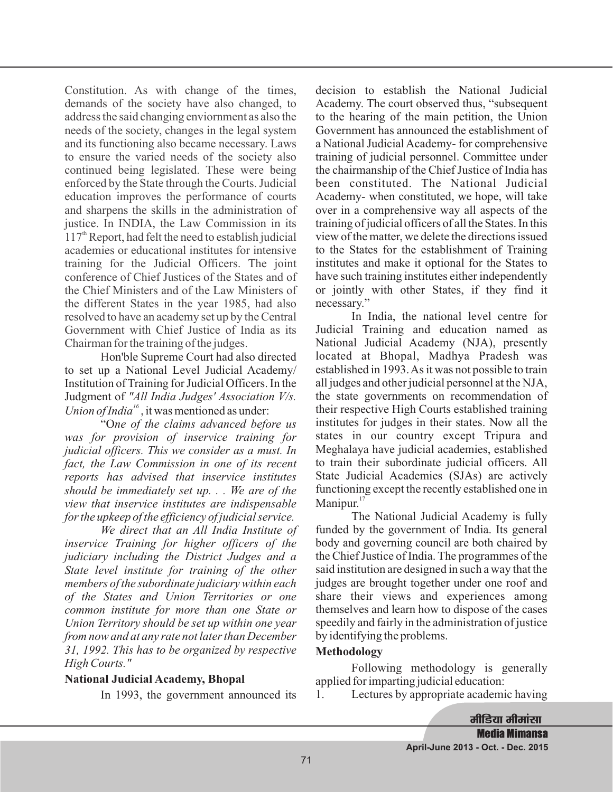Constitution. As with change of the times, demands of the society have also changed, to address the said changing enviornment as also the needs of the society, changes in the legal system and its functioning also became necessary. Laws to ensure the varied needs of the society also continued being legislated. These were being enforced by the State through the Courts. Judicial education improves the performance of courts and sharpens the skills in the administration of justice. In INDIA, the Law Commission in its  $117<sup>th</sup>$  Report, had felt the need to establish judicial academies or educational institutes for intensive training for the Judicial Officers. The joint conference of Chief Justices of the States and of the Chief Ministers and of the Law Ministers of the different States in the year 1985, had also resolved to have an academy set up by the Central Government with Chief Justice of India as its Chairman for the training of the judges.

H on'ble Supreme Court had also directed to set up a National Level Judicial Academy/ Institution of Training for Judicial Officers. In the Judgment of *"All India Judges' Association V/s.* Union of India<sup>16</sup>, it was mentioned as under:

"O *ne of the claims advanced before us was for provision of inservice training for judicial officers. This we consider as a must. In fact, the Law Commission in one of its recent reports has advised that inservice institutes should be immediately set up. . . We are of the view that inservice institutes are indispensable for the upkeep of the efficiency of judicial service.*

*We direct that an All India Institute of inservice Training for higher officers of the judiciary including the District Judges and a State level institute for training of the other members of the subordinate judiciary within each of the States and Union Territories or one common institute for more than one State or Union Territory should be set up within one year from now and at any rate not later than December 31, 1992. This has to be organized by respective High Courts."*

### **National Judicial Academy, Bhopal**

In 1993, the government announced its

decision to establish the National Judicial Academy. The court observed thus, "subsequent to the hearing of the main petition, the Union Government has announced the establishment of a National Judicial Academy- for comprehensive training of judicial personnel. Committee under the chairmanship of the Chief Justice of India has been constituted. The National Judicial Academy- when constituted, we hope, will take over in a comprehensive way all aspects of the training of judicial officers of all the States. In this view of the matter, we delete the directions issued to the States for the establishment of Training institutes and make it optional for the States to have such training institutes either independently or jointly with other States, if they find it necessary."

In India, the national level centre for Judicial Training and education named as National Judicial Academy (NJA), presently located at Bhopal, Madhya Pradesh was established in 1993.As it was not possible to train all judges and other judicial personnel at the NJA, the state governments on recommendation of their respective High Courts established training institutes for judges in their states. Now all the states in our country except Tripura and Meghalaya have judicial academies, established to train their subordinate judicial officers. All State Judicial Academies (SJAs) are actively functioning except the recently established one in Manipur.<sup>17</sup>

The National Judicial Academy is fully funded by the government of India. Its general body and governing council are both chaired by the Chief Justice of India. The programmes of the said institution are designed in such a way that the judges are brought together under one roof and share their views and experiences among themselves and learn how to dispose of the cases speedily and fairly in the administration of justice by identifying the problems.

### **Methodology**

Following methodology is generally applied for imparting judicial education:

1. Lectures by appropriate academic having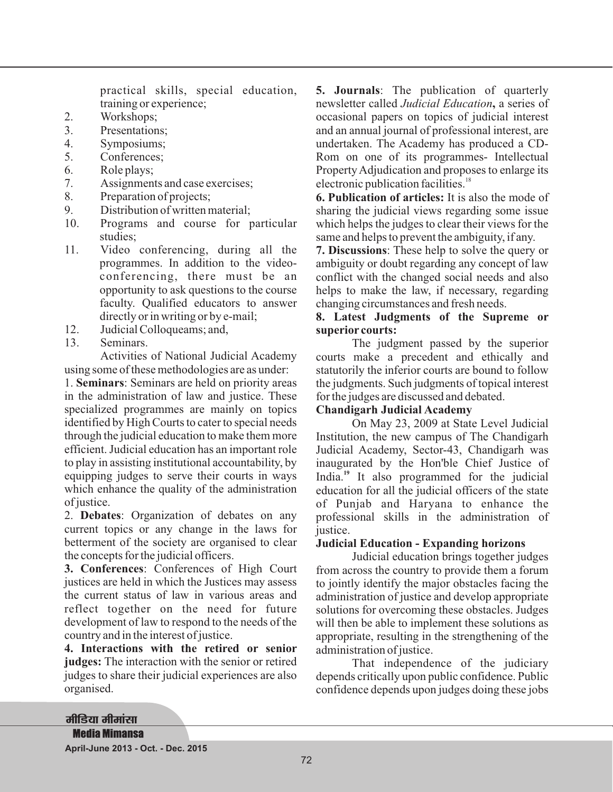practical skills, special education, training or experience;

- 2. Workshops;
- 3. Presentations;
- 4. Symposiums;
- 5. Conferences;
- 6. Role plays;
- 7. Assignments and case exercises;
- 8. Preparation of projects;
- 9. Distribution of written material;
- 10. Programs and course for particular studies;
- 11. Video conferencing, during all the programmes. In addition to the videoconferencing, there must be an opportunity to ask questions to the course faculty. Qualified educators to answer directly or in writing or by e-mail;
- 12. Judicial Colloqueams; and,
- 13. Seminars.

Activities of National Judicial Academy using some of these methodologies are as under:

1. Seminars: Seminars are held on priority areas in the administration of law and justice. These specialized programmes are mainly on topics identified by High Courts to cater to special needs through the judicial education to make them more efficient. Judicial education has an important role to play in assisting institutional accountability, by equipping judges to serve their courts in ways which enhance the quality of the administration of justice.

2. Debates: Organization of debates on any current topics or any change in the laws for betterment of the society are organised to clear the concepts for the judicial officers.

: Conferences of High Court **3. Conferences** justices are held in which the Justices may assess the current status of law in various areas and reflect together on the need for future development of law to respond to the needs of the country and in the interest of justice.

judges: The interaction with the senior or retired judges to share their judicial experiences are also organised. **4. Interactions with the retired or senior**

: The publication of quarterly **5. Journals** newsletter called Judicial Education, a series of occasional papers on topics of judicial interest and an annual journal of professional interest, are undertaken. The Academy has produced a CD-Rom on one of its programmes- Intellectual Property Adjudication and proposes to enlarge its electronic publication facilities.<sup>18</sup>

**6. Publication of articles:** It is also the mode of sharing the judicial views regarding some issue which helps the judges to clear their views for the same and helps to prevent the ambiguity, if any.

: These help to solve the query or **7. Discussions** ambiguity or doubt regarding any concept of law conflict with the changed social needs and also helps to make the law, if necessary, regarding changing circumstances and fresh needs.

### **8. Latest Judgments of the Supreme or superior courts:**

The judgment passed by the superior courts make a precedent and ethically and statutorily the inferior courts are bound to follow the judgments. Such judgments of topical interest for the judges are discussed and debated.

### **Chandigarh Judicial Academy**

On May 23, 2009 at State Level Judicial Institution, the new campus of The Chandigarh Judicial Academy, Sector-43, Chandigarh was inaugurated by the Hon'ble Chief Justice of India.<sup>19</sup> It also programmed for the judicial education for all the judicial officers of the state of Punjab and Haryana to enhance the professional skills in the administration of justice.

### **Judicial Education - Expanding horizons**

Judicial education brings together judges from across the country to provide them a forum to jointly identify the major obstacles facing the administration of justice and develop appropriate solutions for overcoming these obstacles. Judges will then be able to implement these solutions as appropriate, resulting in the strengthening of the administration of justice.

That independence of the judiciary depends critically upon public confidence. Public confidence depends upon judges doing these jobs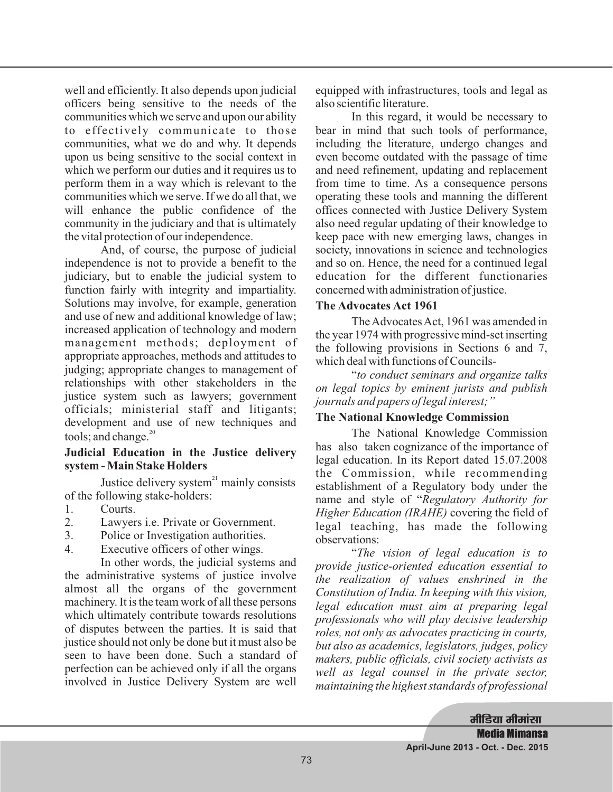well and efficiently. It also depends upon judicial officers being sensitive to the needs of the communities which we serve and upon our ability to effectively communicate to those communities, what we do and why. It depends upon us being sensitive to the social context in which we perform our duties and it requires us to perform them in a way which is relevant to the communities which we serve. If we do all that, we will enhance the public confidence of the community in the judiciary and that is ultimately the vital protection of our independence.

And, of course, the purpose of judicial independence is not to provide a benefit to the judiciary, but to enable the judicial system to function fairly with integrity and impartiality. Solutions may involve, for example, generation and use of new and additional knowledge of law; increased application of technology and modern management methods; deployment of appropriate approaches, methods and attitudes to judging; appropriate changes to management of relationships with other stakeholders in the justice system such as lawyers; government officials; ministerial staff and litigants; development and use of new techniques and tools; and change.<sup>20</sup>

### **Judicial Education in the Justice delivery system - Main Stake Holders**

Justice delivery system $1$ <sup>n</sup> mainly consists of the following stake-holders:

- 1. Courts.
- 2. Lawyers i.e. Private or Government.
- 3. Police or Investigation authorities.
- 4. Executive officers of other wings.

In other words, the judicial systems and the administrative systems of justice involve almost all the organs of the government machinery. It is the team work of all these persons which ultimately contribute towards resolutions of disputes between the parties. It is said that justice should not only be done but it must also be seen to have been done. Such a standard of perfection can be achieved only if all the organs involved in Justice Delivery System are well

equipped with infrastructures, tools and legal as also scientific literature.

In this regard, it would be necessary to bear in mind that such tools of performance, including the literature, undergo changes and even become outdated with the passage of time and need refinement, updating and replacement from time to time. As a consequence persons operating these tools and manning the different offices connected with Justice Delivery System also need regular updating of their knowledge to keep pace with new emerging laws, changes in society, innovations in science and technologies and so on. Hence, the need for a continued legal education for the different functionaries concerned with administration of justice.

### **The Advocates Act 1961**

The Advocates Act, 1961 was amended in the year 1974 with progressive mind-set inserting the following provisions in Sections 6 and 7, which deal with functions of Councils-

" *to conduct seminars and organize talks on legal topics by eminent jurists and publish journals and papers of legal interest;"*

### **The National Knowledge Commission**

The National Knowledge Commission has also taken cognizance of the importance of legal education. In its Report dated 15.07.2008 the Commission, while recommending establishment of a Regulatory body under the name and style of " *Regulatory Authority for* Higher Education (IRAHE) covering the field of legal teaching, has made the following observations:

" *The vision of legal education is to provide justice-oriented education essential to the realization of values enshrined in the Constitution of India. In keeping with this vision, legal education must aim at preparing legal professionals who will play decisive leadership roles, not only as advocates practicing in courts, but also as academics, legislators, judges, policy makers, public officials, civil society activists as well as legal counsel in the private sector, maintaining the highest standards of professional*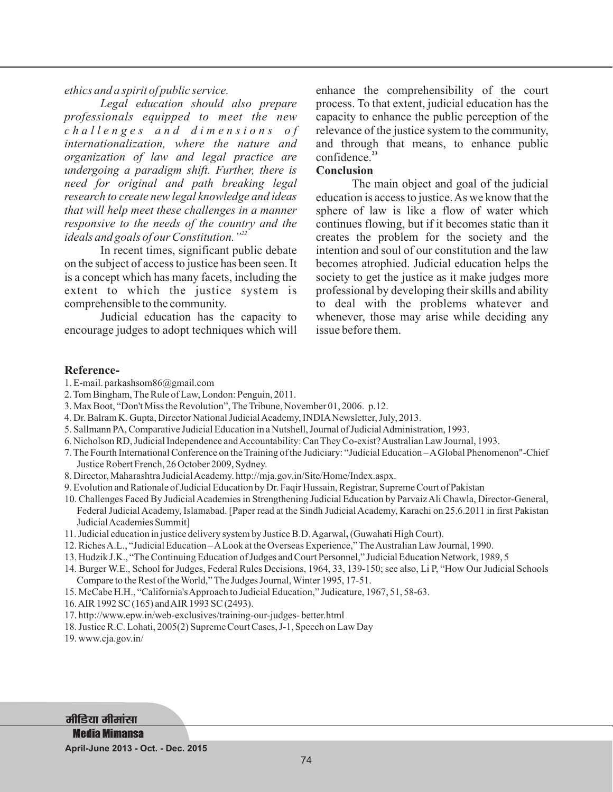*ethics and a spirit of public service.*

*Legal education should also prepare professionals equipped to meet the new c h a l l e n g e s a n d d i m e n s i o n s o f internationalization, where the nature and organization of law and legal practice are undergoing a paradigm shift. Further, there is need for original and path breaking legal research to create new legal knowledge and ideas that will help meet these challenges in a manner responsive to the needs of the country and the ideals and goals of our Constitution."<sup>22</sup>*

In recent times, significant public debate on the subject of access to justice has been seen. It is a concept which has many facets, including the extent to which the justice system is comprehensible to the community.

Judicial education has the capacity to encourage judges to adopt techniques which will enhance the comprehensibility of the court process. To that extent, judicial education has the capacity to enhance the public perception of the relevance of the justice system to the community, and through that means, to enhance public confidence. **23**

### **Conclusion**

The main object and goal of the judicial education is access to justice.As we know that the sphere of law is like a flow of water which continues flowing, but if it becomes static than it creates the problem for the society and the intention and soul of our constitution and the law becomes atrophied. Judicial education helps the society to get the justice as it make judges more professional by developing their skills and ability to deal with the problems whatever and whenever, those may arise while deciding any issue before them.

#### **Reference-**

- 1. E-mail. parkashsom86@gmail.com
- 2. Tom Bingham, The Rule of Law, London: Penguin, 2011.
- 3. Max Boot, "Don't Miss the Revolution", The Tribune, November 01, 2006. p.12.
- 4. Dr. Balram K. Gupta, Director National Judicial Academy, INDIA Newsletter, July, 2013.
- 5. Sallmann PA, Comparative Judicial Education in a Nutshell, Journal of JudicialAdministration, 1993.
- 6. Nicholson RD, Judicial Independence andAccountability: Can They Co-exist?Australian Law Journal, 1993.
- 7. The Fourth International Conference on the Training of the Judiciary: "Judicial Education –AGlobal Phenomenon"-Chief Justice Robert French, 26 October 2009, Sydney.
- 8. Director, Maharashtra JudicialAcademy. http://mja.gov.in/Site/Home/Index.aspx.
- 9. Evolution and Rationale of Judicial Education by Dr. Faqir Hussain, Registrar, Supreme Court of Pakistan
- 10. Challenges Faced By Judicial Academies in Strengthening Judicial Education by Parvaiz Ali Chawla, Director-General, Federal Judicial Academy, Islamabad. [Paper read at the Sindh Judicial Academy, Karachi on 25.6.2011 in first Pakistan Judicial Academies Summit]
- 11. Judicial education in justice delivery system by Justice B.D.Agarwal (Guwahati High Court). **,**
- 12. RichesA.L., "Judicial Education –ALook at the Overseas Experience,"TheAustralian Law Journal, 1990.
- 13. Hudzik J.K., "The Continuing Education of Judges and Court Personnel," Judicial Education Network, 1989, 5
- 14. Burger W.E., School for Judges, Federal Rules Decisions, 1964, 33, 139-150; see also, Li P, "How Our Judicial Schools Compare to the Rest of the World,"The Judges Journal, Winter 1995, 17-51.
- 15. McCabe H.H., "California'sApproach to Judicial Education," Judicature, 1967, 51, 58-63.
- 16.AIR 1992 SC (165) andAIR 1993 SC (2493).
- 17. http://www.epw.in/web-exclusives/training-our-judges- better.html
- 18. Justice R.C. Lohati, 2005(2) Supreme Court Cases, J-1, Speech on Law Day

19. www.cja.gov.in/